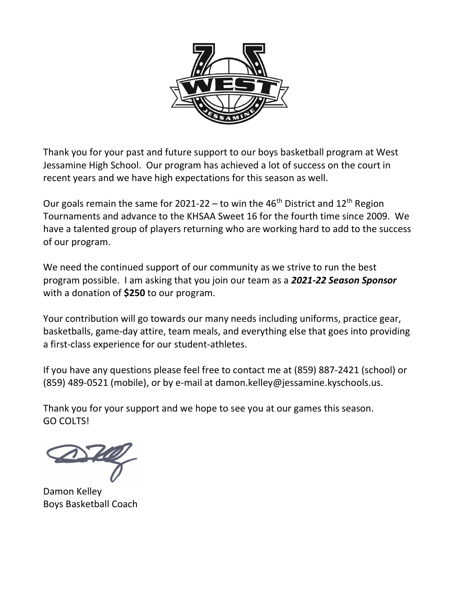

Thank you for your past and future support to our boys basketball program at West Jessamine High School. Our program has achieved a lot of success on the court in recent years and we have high expectations for this season as well.

Our goals remain the same for 2021-22 – to win the 46<sup>th</sup> District and 12<sup>th</sup> Region Tournaments and advance to the KHSAA Sweet 16 for the fourth time since 2009. We have a talented group of players returning who are working hard to add to the success of our program.

We need the continued support of our community as we strive to run the best program possible. I am asking that you join our team as a 2021-22 Season Sponsor with a donation of \$250 to our program.

Your contribution will go towards our many needs including uniforms, practice gear, basketballs, game-day attire, team meals, and everything else that goes into providing a first-class experience for our student-athletes.

If you have any questions please feel free to contact me at (859) 887-2421 (school) or (859) 489-0521 (mobile), or by e-mail at damon.kelley@jessamine.kyschools.us.

Thank you for your support and we hope to see you at our games this season. GO COLTS!

Damon Kelley Boys Basketball Coach